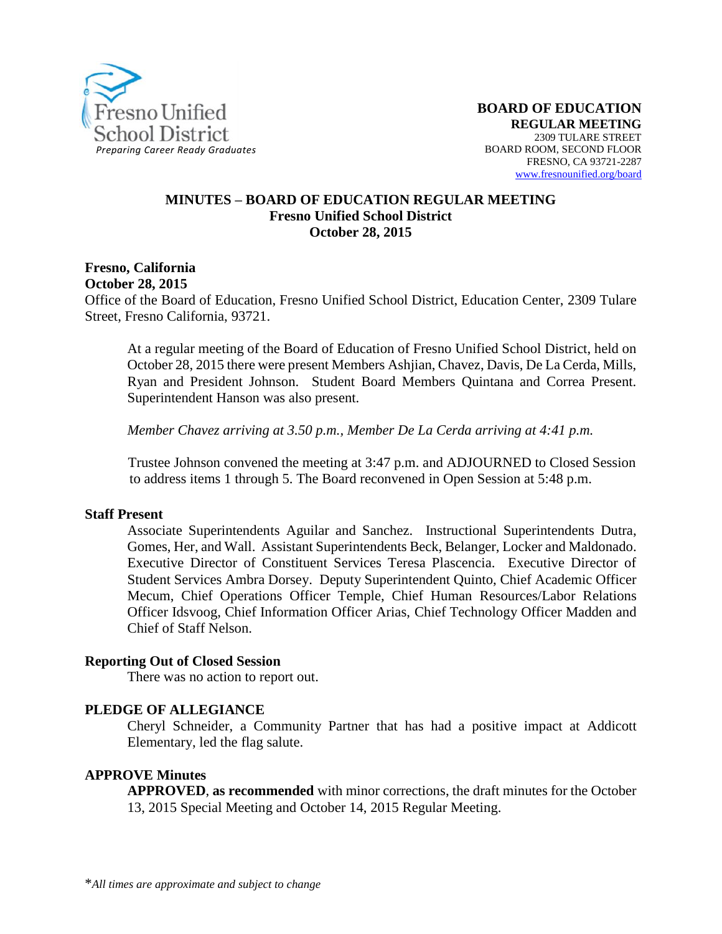

#### **MINUTES – BOARD OF EDUCATION REGULAR MEETING Fresno Unified School District October 28, 2015**

### **Fresno, California October 28, 2015**

Office of the Board of Education, Fresno Unified School District, Education Center, 2309 Tulare Street, Fresno California, 93721.

At a regular meeting of the Board of Education of Fresno Unified School District, held on October 28, 2015 there were present Members Ashjian, Chavez, Davis, De La Cerda, Mills, Ryan and President Johnson. Student Board Members Quintana and Correa Present. Superintendent Hanson was also present.

*Member Chavez arriving at 3.50 p.m., Member De La Cerda arriving at 4:41 p.m.*

Trustee Johnson convened the meeting at 3:47 p.m. and ADJOURNED to Closed Session to address items 1 through 5. The Board reconvened in Open Session at 5:48 p.m.

#### **Staff Present**

Associate Superintendents Aguilar and Sanchez. Instructional Superintendents Dutra, Gomes, Her, and Wall. Assistant Superintendents Beck, Belanger, Locker and Maldonado. Executive Director of Constituent Services Teresa Plascencia. Executive Director of Student Services Ambra Dorsey. Deputy Superintendent Quinto, Chief Academic Officer Mecum, Chief Operations Officer Temple, Chief Human Resources/Labor Relations Officer Idsvoog, Chief Information Officer Arias, Chief Technology Officer Madden and Chief of Staff Nelson.

#### **Reporting Out of Closed Session**

There was no action to report out.

#### **PLEDGE OF ALLEGIANCE**

Cheryl Schneider, a Community Partner that has had a positive impact at Addicott Elementary, led the flag salute.

#### **APPROVE Minutes**

**APPROVED**, **as recommended** with minor corrections, the draft minutes for the October 13, 2015 Special Meeting and October 14, 2015 Regular Meeting.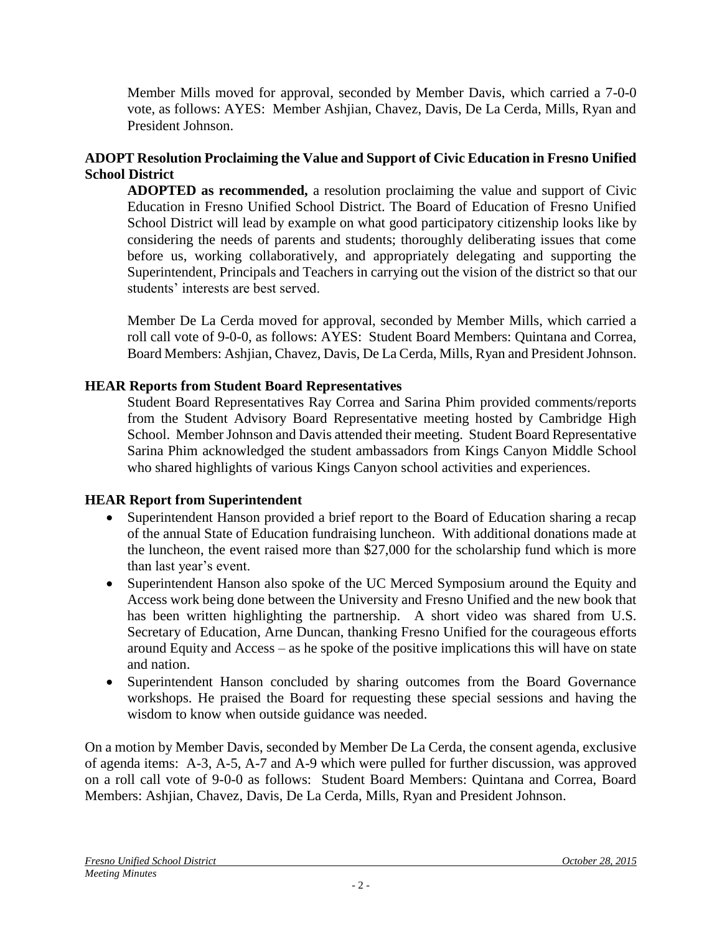Member Mills moved for approval, seconded by Member Davis, which carried a 7-0-0 vote, as follows: AYES: Member Ashjian, Chavez, Davis, De La Cerda, Mills, Ryan and President Johnson.

# **ADOPT Resolution Proclaiming the Value and Support of Civic Education in Fresno Unified School District**

**ADOPTED as recommended,** a resolution proclaiming the value and support of Civic Education in Fresno Unified School District. The Board of Education of Fresno Unified School District will lead by example on what good participatory citizenship looks like by considering the needs of parents and students; thoroughly deliberating issues that come before us, working collaboratively, and appropriately delegating and supporting the Superintendent, Principals and Teachers in carrying out the vision of the district so that our students' interests are best served.

Member De La Cerda moved for approval, seconded by Member Mills, which carried a roll call vote of 9-0-0, as follows: AYES: Student Board Members: Quintana and Correa, Board Members: Ashjian, Chavez, Davis, De La Cerda, Mills, Ryan and President Johnson.

## **HEAR Reports from Student Board Representatives**

Student Board Representatives Ray Correa and Sarina Phim provided comments/reports from the Student Advisory Board Representative meeting hosted by Cambridge High School. Member Johnson and Davis attended their meeting. Student Board Representative Sarina Phim acknowledged the student ambassadors from Kings Canyon Middle School who shared highlights of various Kings Canyon school activities and experiences.

## **HEAR Report from Superintendent**

- Superintendent Hanson provided a brief report to the Board of Education sharing a recap of the annual State of Education fundraising luncheon. With additional donations made at the luncheon, the event raised more than \$27,000 for the scholarship fund which is more than last year's event.
- Superintendent Hanson also spoke of the UC Merced Symposium around the Equity and Access work being done between the University and Fresno Unified and the new book that has been written highlighting the partnership. A short video was shared from U.S. Secretary of Education, Arne Duncan, thanking Fresno Unified for the courageous efforts around Equity and Access – as he spoke of the positive implications this will have on state and nation.
- Superintendent Hanson concluded by sharing outcomes from the Board Governance workshops. He praised the Board for requesting these special sessions and having the wisdom to know when outside guidance was needed.

On a motion by Member Davis, seconded by Member De La Cerda, the consent agenda, exclusive of agenda items: A-3, A-5, A-7 and A-9 which were pulled for further discussion, was approved on a roll call vote of 9-0-0 as follows: Student Board Members: Quintana and Correa, Board Members: Ashjian, Chavez, Davis, De La Cerda, Mills, Ryan and President Johnson.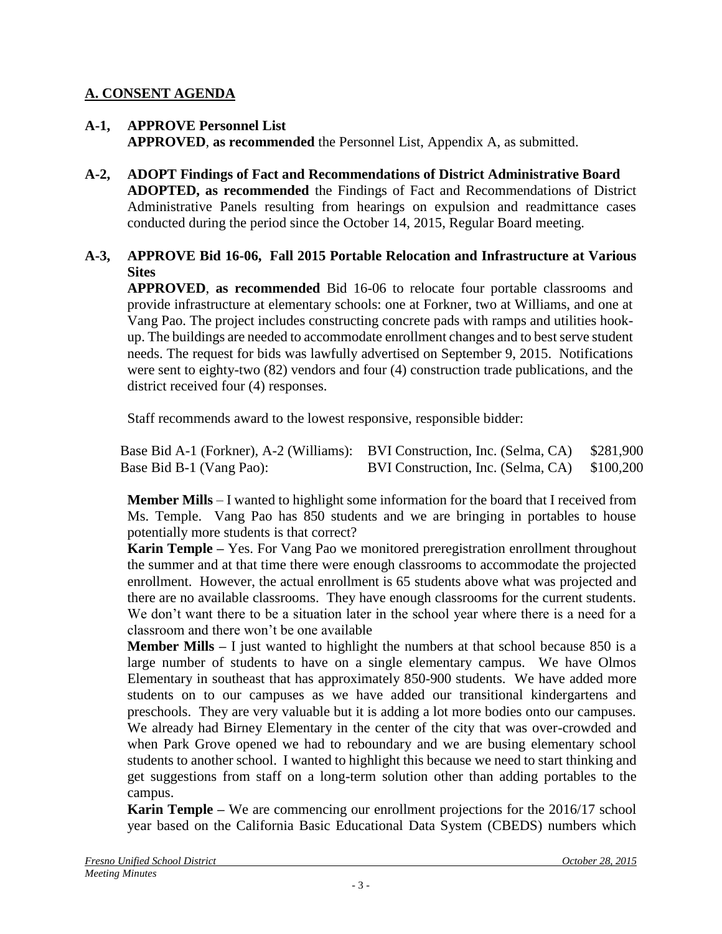## **A. CONSENT AGENDA**

### **A-1, APPROVE Personnel List APPROVED**, **as recommended** the Personnel List, Appendix A, as submitted.

**A-2, ADOPT Findings of Fact and Recommendations of District Administrative Board ADOPTED, as recommended** the Findings of Fact and Recommendations of District Administrative Panels resulting from hearings on expulsion and readmittance cases conducted during the period since the October 14, 2015, Regular Board meeting.

### **A-3, APPROVE Bid 16-06, Fall 2015 Portable Relocation and Infrastructure at Various Sites**

**APPROVED**, **as recommended** Bid 16-06 to relocate four portable classrooms and provide infrastructure at elementary schools: one at Forkner, two at Williams, and one at Vang Pao. The project includes constructing concrete pads with ramps and utilities hookup. The buildings are needed to accommodate enrollment changes and to best serve student needs. The request for bids was lawfully advertised on September 9, 2015. Notifications were sent to eighty-two (82) vendors and four (4) construction trade publications, and the district received four (4) responses.

Staff recommends award to the lowest responsive, responsible bidder:

| Base Bid A-1 (Forkner), A-2 (Williams): BVI Construction, Inc. (Selma, CA) \$281,900 |                                              |  |
|--------------------------------------------------------------------------------------|----------------------------------------------|--|
| Base Bid B-1 (Vang Pao):                                                             | BVI Construction, Inc. (Selma, CA) \$100,200 |  |

**Member Mills** – I wanted to highlight some information for the board that I received from Ms. Temple. Vang Pao has 850 students and we are bringing in portables to house potentially more students is that correct?

**Karin Temple –** Yes. For Vang Pao we monitored preregistration enrollment throughout the summer and at that time there were enough classrooms to accommodate the projected enrollment. However, the actual enrollment is 65 students above what was projected and there are no available classrooms. They have enough classrooms for the current students. We don't want there to be a situation later in the school year where there is a need for a classroom and there won't be one available

**Member Mills** – I just wanted to highlight the numbers at that school because 850 is a large number of students to have on a single elementary campus. We have Olmos Elementary in southeast that has approximately 850-900 students. We have added more students on to our campuses as we have added our transitional kindergartens and preschools. They are very valuable but it is adding a lot more bodies onto our campuses. We already had Birney Elementary in the center of the city that was over-crowded and when Park Grove opened we had to reboundary and we are busing elementary school students to another school. I wanted to highlight this because we need to start thinking and get suggestions from staff on a long-term solution other than adding portables to the campus.

**Karin Temple –** We are commencing our enrollment projections for the 2016/17 school year based on the California Basic Educational Data System (CBEDS) numbers which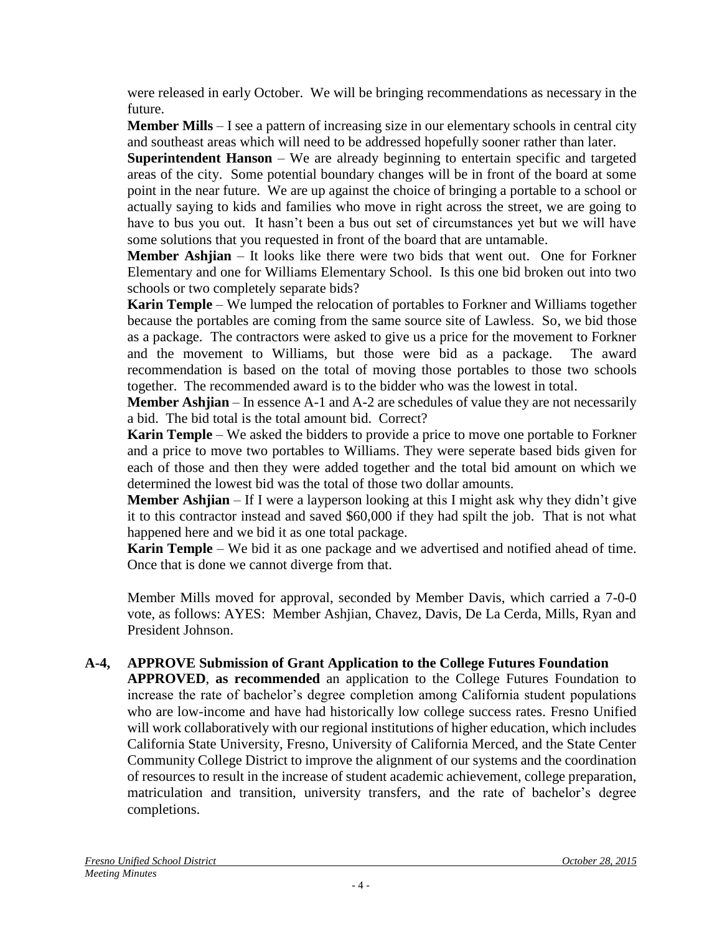were released in early October. We will be bringing recommendations as necessary in the future.

**Member Mills** – I see a pattern of increasing size in our elementary schools in central city and southeast areas which will need to be addressed hopefully sooner rather than later.

**Superintendent Hanson** – We are already beginning to entertain specific and targeted areas of the city. Some potential boundary changes will be in front of the board at some point in the near future. We are up against the choice of bringing a portable to a school or actually saying to kids and families who move in right across the street, we are going to have to bus you out. It hasn't been a bus out set of circumstances yet but we will have some solutions that you requested in front of the board that are untamable.

**Member Ashjian** – It looks like there were two bids that went out. One for Forkner Elementary and one for Williams Elementary School. Is this one bid broken out into two schools or two completely separate bids?

**Karin Temple** – We lumped the relocation of portables to Forkner and Williams together because the portables are coming from the same source site of Lawless. So, we bid those as a package. The contractors were asked to give us a price for the movement to Forkner and the movement to Williams, but those were bid as a package. The award recommendation is based on the total of moving those portables to those two schools together. The recommended award is to the bidder who was the lowest in total.

**Member Ashjian** – In essence A-1 and A-2 are schedules of value they are not necessarily a bid. The bid total is the total amount bid. Correct?

**Karin Temple** – We asked the bidders to provide a price to move one portable to Forkner and a price to move two portables to Williams. They were seperate based bids given for each of those and then they were added together and the total bid amount on which we determined the lowest bid was the total of those two dollar amounts.

**Member Ashjian** – If I were a layperson looking at this I might ask why they didn't give it to this contractor instead and saved \$60,000 if they had spilt the job. That is not what happened here and we bid it as one total package.

**Karin Temple** – We bid it as one package and we advertised and notified ahead of time. Once that is done we cannot diverge from that.

Member Mills moved for approval, seconded by Member Davis, which carried a 7-0-0 vote, as follows: AYES: Member Ashjian, Chavez, Davis, De La Cerda, Mills, Ryan and President Johnson.

## **A-4, APPROVE Submission of Grant Application to the College Futures Foundation**

**APPROVED**, **as recommended** an application to the College Futures Foundation to increase the rate of bachelor's degree completion among California student populations who are low-income and have had historically low college success rates. Fresno Unified will work collaboratively with our regional institutions of higher education, which includes California State University, Fresno, University of California Merced, and the State Center Community College District to improve the alignment of our systems and the coordination of resources to result in the increase of student academic achievement, college preparation, matriculation and transition, university transfers, and the rate of bachelor's degree completions.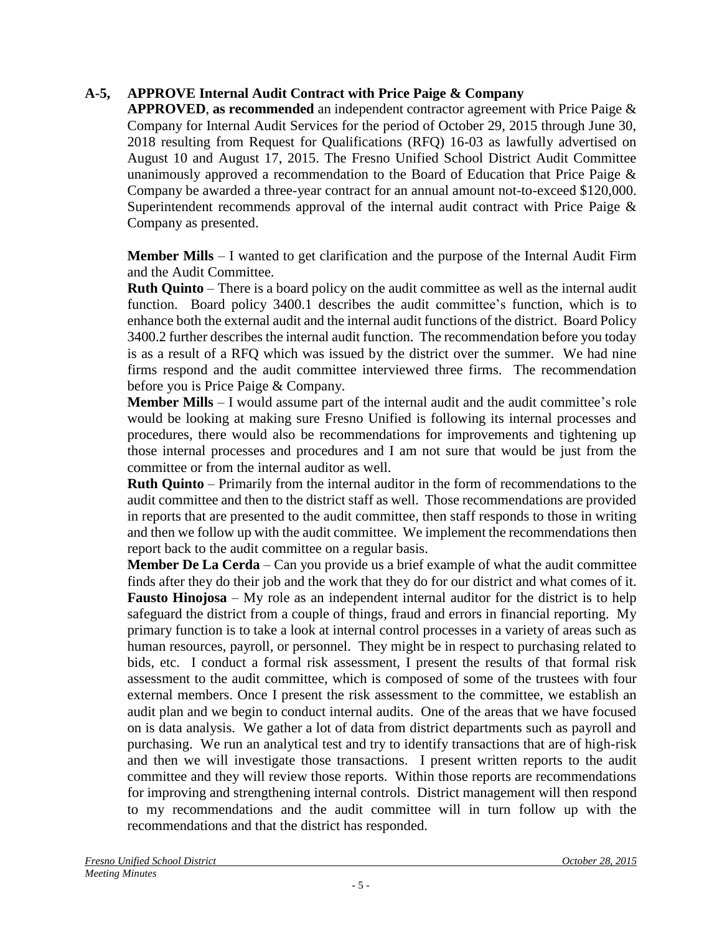## **A-5, APPROVE Internal Audit Contract with Price Paige & Company**

**APPROVED**, **as recommended** an independent contractor agreement with Price Paige & Company for Internal Audit Services for the period of October 29, 2015 through June 30, 2018 resulting from Request for Qualifications (RFQ) 16-03 as lawfully advertised on August 10 and August 17, 2015. The Fresno Unified School District Audit Committee unanimously approved a recommendation to the Board of Education that Price Paige & Company be awarded a three-year contract for an annual amount not-to-exceed \$120,000. Superintendent recommends approval of the internal audit contract with Price Paige & Company as presented.

**Member Mills** – I wanted to get clarification and the purpose of the Internal Audit Firm and the Audit Committee.

**Ruth Quinto** – There is a board policy on the audit committee as well as the internal audit function. Board policy 3400.1 describes the audit committee's function, which is to enhance both the external audit and the internal audit functions of the district. Board Policy 3400.2 further describes the internal audit function. The recommendation before you today is as a result of a RFQ which was issued by the district over the summer. We had nine firms respond and the audit committee interviewed three firms. The recommendation before you is Price Paige & Company.

**Member Mills** – I would assume part of the internal audit and the audit committee's role would be looking at making sure Fresno Unified is following its internal processes and procedures, there would also be recommendations for improvements and tightening up those internal processes and procedures and I am not sure that would be just from the committee or from the internal auditor as well.

**Ruth Quinto** – Primarily from the internal auditor in the form of recommendations to the audit committee and then to the district staff as well. Those recommendations are provided in reports that are presented to the audit committee, then staff responds to those in writing and then we follow up with the audit committee. We implement the recommendations then report back to the audit committee on a regular basis.

**Member De La Cerda** – Can you provide us a brief example of what the audit committee finds after they do their job and the work that they do for our district and what comes of it. **Fausto Hinojosa** – My role as an independent internal auditor for the district is to help safeguard the district from a couple of things, fraud and errors in financial reporting. My primary function is to take a look at internal control processes in a variety of areas such as human resources, payroll, or personnel. They might be in respect to purchasing related to bids, etc. I conduct a formal risk assessment, I present the results of that formal risk assessment to the audit committee, which is composed of some of the trustees with four external members. Once I present the risk assessment to the committee, we establish an audit plan and we begin to conduct internal audits. One of the areas that we have focused on is data analysis. We gather a lot of data from district departments such as payroll and purchasing. We run an analytical test and try to identify transactions that are of high-risk and then we will investigate those transactions. I present written reports to the audit committee and they will review those reports. Within those reports are recommendations for improving and strengthening internal controls. District management will then respond to my recommendations and the audit committee will in turn follow up with the recommendations and that the district has responded.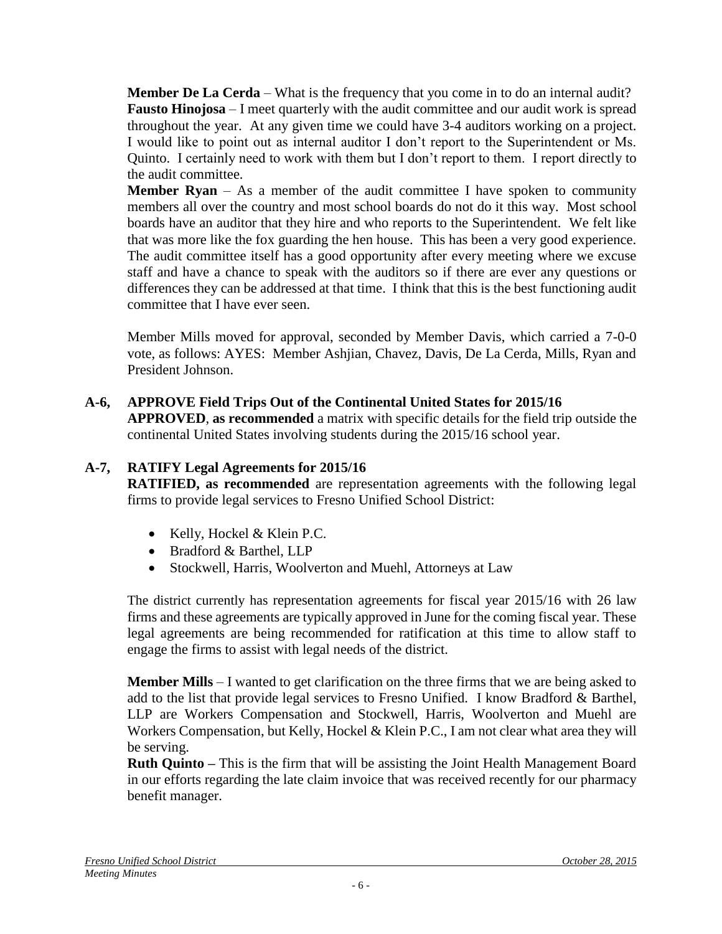**Member De La Cerda** – What is the frequency that you come in to do an internal audit? **Fausto Hinojosa** – I meet quarterly with the audit committee and our audit work is spread throughout the year. At any given time we could have 3-4 auditors working on a project. I would like to point out as internal auditor I don't report to the Superintendent or Ms. Quinto. I certainly need to work with them but I don't report to them. I report directly to the audit committee.

**Member Ryan**  $-$  As a member of the audit committee I have spoken to community members all over the country and most school boards do not do it this way. Most school boards have an auditor that they hire and who reports to the Superintendent. We felt like that was more like the fox guarding the hen house. This has been a very good experience. The audit committee itself has a good opportunity after every meeting where we excuse staff and have a chance to speak with the auditors so if there are ever any questions or differences they can be addressed at that time. I think that this is the best functioning audit committee that I have ever seen.

Member Mills moved for approval, seconded by Member Davis, which carried a 7-0-0 vote, as follows: AYES: Member Ashjian, Chavez, Davis, De La Cerda, Mills, Ryan and President Johnson.

# **A-6, APPROVE Field Trips Out of the Continental United States for 2015/16**

**APPROVED**, **as recommended** a matrix with specific details for the field trip outside the continental United States involving students during the 2015/16 school year.

# **A-7, RATIFY Legal Agreements for 2015/16**

**RATIFIED, as recommended** are representation agreements with the following legal firms to provide legal services to Fresno Unified School District:

- Kelly, Hockel & Klein P.C.
- Bradford & Barthel, LLP
- Stockwell, Harris, Woolverton and Muehl, Attorneys at Law

The district currently has representation agreements for fiscal year 2015/16 with 26 law firms and these agreements are typically approved in June for the coming fiscal year. These legal agreements are being recommended for ratification at this time to allow staff to engage the firms to assist with legal needs of the district.

**Member Mills** – I wanted to get clarification on the three firms that we are being asked to add to the list that provide legal services to Fresno Unified. I know Bradford & Barthel, LLP are Workers Compensation and Stockwell, Harris, Woolverton and Muehl are Workers Compensation, but Kelly, Hockel & Klein P.C., I am not clear what area they will be serving.

**Ruth Quinto –** This is the firm that will be assisting the Joint Health Management Board in our efforts regarding the late claim invoice that was received recently for our pharmacy benefit manager.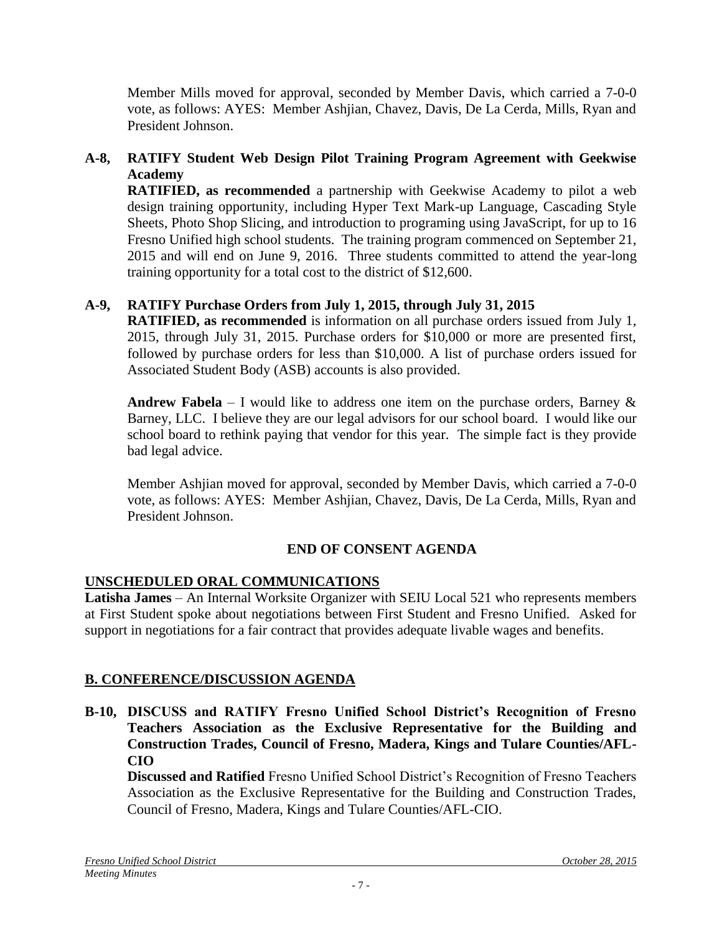Member Mills moved for approval, seconded by Member Davis, which carried a 7-0-0 vote, as follows: AYES: Member Ashjian, Chavez, Davis, De La Cerda, Mills, Ryan and President Johnson.

# **A-8, RATIFY Student Web Design Pilot Training Program Agreement with Geekwise Academy**

**RATIFIED, as recommended** a partnership with Geekwise Academy to pilot a web design training opportunity, including Hyper Text Mark-up Language, Cascading Style Sheets, Photo Shop Slicing, and introduction to programing using JavaScript, for up to 16 Fresno Unified high school students. The training program commenced on September 21, 2015 and will end on June 9, 2016. Three students committed to attend the year-long training opportunity for a total cost to the district of \$12,600.

# **A-9, RATIFY Purchase Orders from July 1, 2015, through July 31, 2015**

**RATIFIED, as recommended** is information on all purchase orders issued from July 1, 2015, through July 31, 2015. Purchase orders for \$10,000 or more are presented first, followed by purchase orders for less than \$10,000. A list of purchase orders issued for Associated Student Body (ASB) accounts is also provided.

**Andrew Fabela** – I would like to address one item on the purchase orders, Barney  $\&$ Barney, LLC. I believe they are our legal advisors for our school board. I would like our school board to rethink paying that vendor for this year. The simple fact is they provide bad legal advice.

Member Ashjian moved for approval, seconded by Member Davis, which carried a 7-0-0 vote, as follows: AYES: Member Ashjian, Chavez, Davis, De La Cerda, Mills, Ryan and President Johnson.

## **END OF CONSENT AGENDA**

## **UNSCHEDULED ORAL COMMUNICATIONS**

**Latisha James** – An Internal Worksite Organizer with SEIU Local 521 who represents members at First Student spoke about negotiations between First Student and Fresno Unified. Asked for support in negotiations for a fair contract that provides adequate livable wages and benefits.

## **B. CONFERENCE/DISCUSSION AGENDA**

**B-10, DISCUSS and RATIFY Fresno Unified School District's Recognition of Fresno Teachers Association as the Exclusive Representative for the Building and Construction Trades, Council of Fresno, Madera, Kings and Tulare Counties/AFL-CIO**

**Discussed and Ratified** Fresno Unified School District's Recognition of Fresno Teachers Association as the Exclusive Representative for the Building and Construction Trades, Council of Fresno, Madera, Kings and Tulare Counties/AFL-CIO.